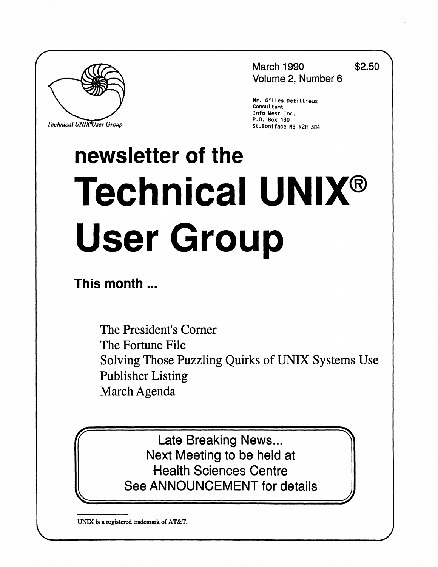

**Technical UNIX User Group** P.O. Box 130 **P.O. Box 130** 

**March 1990 \$2.50 Volume 2, Number 6** 

**Mr. Gitles Detiltieux Consultant Info West Inc.**  *TechnicalUNIXVserGroup* **St.Boniface MB R2H 3B4** 

# **newsletter of the Technical UNIX® User Group**

**This month...** 

The President's Corner The Fortune File Solving Those Puzzling Quirks of UNIX Systems Use Publisher Listing March Agenda

Late Breaking News... Next Meeting to be held at Health Sciences Centre See ANNOUNCEMENT for details

**UNIX is a registered trademark of AT&T.**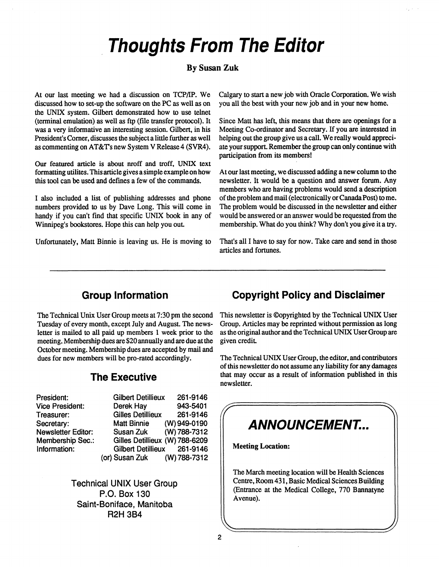## **Thoughts From The Editor**

#### **By Susan Zuk**

At our last meeting we had a discussion on TCP/IP. We discussed how to set-up the software on the PC as well as on the UNIX system. Gilbert demonstrated how to use telnet (terminal emulation) as well as ftp (file transfer protocol). It was a very informative an interesting session. Gilbert, in his President's Corner, discusses the subject a little further as well as commenting on AT&T's new System V Release 4 (SVR4).

Our featured article is about nroff and troff, UNIX text formatting utilites. This article gives a simple example on how this tool can be used and defines a few of the commands.

I also included a list of publishing addresses and phone numbers provided to us by Dave Long. This will come in handy if you can't find that specific UNIX book in any of Winnipeg's bookstores. Hope this can help you out

Unfortunately, Matt Binnie is leaving us. He is moving to

Calgary to start a new job with Oracle Corporation. We wish you all the best with your new job and in your new home.

Since Matt has left, this means that there are openings for a Meeting Co-ordinator and Secretary. If you are interested in helping out the group give us a call. We really would appreciate your support. Remember the group can only continue with participation from its members!

At our last meeting, we discussed adding a new column to the newsletter. It would be a question and answer forum. Any members who are having problems would send a description of the problem and mail (electronically or Canada Post) to me. The problem would be discussed in the newsletter and either would be answered or an answer would be requested from the membership. What do you think? Why don't you give it a try.

That's all I have to say for now. Take care and send in those articles and fortunes.

#### **Group Information**

The Technical Unix User Group meets at 7:30 pm the second Tuesday of every month, except July and August. The newsletter is mailed to all paid up members 1 week prior to the meeting. Membership dues are \$20 annually and are due at the October meeting. Membership dues are accepted by mail and dues for new members will be pro-rated accordingly.

#### **The Executive**

| President:                | Gilbert Det        |
|---------------------------|--------------------|
| Vice President:           | Derek Hay          |
| Treasurer:                | <b>Gilles Deti</b> |
| Secretary:                | <b>Matt Binni</b>  |
| <b>Newsletter Editor:</b> | Susan Zul          |
| <b>Membership Sec.:</b>   | Gilles Deti        |
| Information:              | Gilbert De         |
|                           | (or) Susan Zul     |

**Gilbert Detillieux 261 -9146 Derek Hay 943-5401 Gilles Detillieux 261-9146 Matt Binnie (W) 949-0190 Susan Zuk (W) 788-7312 Gilles Detillieux (W) 788-6209 Gilbert Detillieux 261-9146 (or) Susan Zuk (W) 788-7312** 

**Technical UNIX User Group P.O. Box 130 Saint-Boniface, Manitoba R2H 3B4** 

#### **Copyright Policy and Disclaimer**

This newsletter is ©opyrighted by the Technical UNIX User Group. Articles may be reprinted without permission as long as the original author and the Technical UNIX User Group are given credit

The Technical UNIX User Group, the editor, and contributors of this newsletter do not assume any liability for any damages that may occur as a result of information published in this newsletter.

## **ANNOUNCEMENT... Meeting Location:**  The March meeting location will be Health Sciences Centre, Room 431, Basic Medical Sciences Building (Entrance at the Medical College, 770 Bannatyne Avenue). **\ <sup>=</sup>j**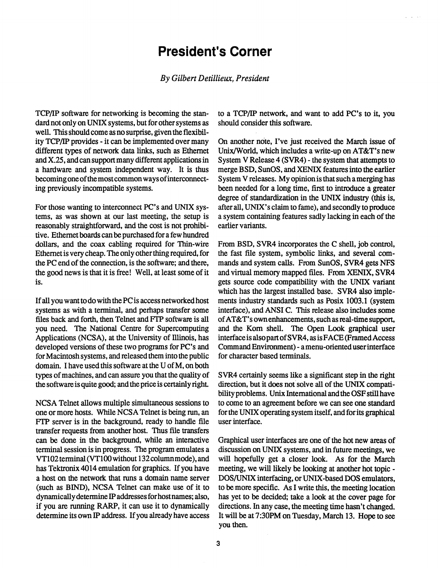## **President's Corner**

#### *By*  **:,** *President*

**TCP/IP software for networking is becoming the standard not only on UNIX systems, but for other systems as well. This should come as no surprise, given the flexibility TCP/IP provides - it can be implemented over many different types of network data links, such as Ethernet and X.25, and can support many different applications in a hardware and system independent way. It is thus becoming one of the most common ways of interconnecting previously incompatible systems.** 

**For those wanting to interconnect PC's and UNIX systems, as was shown at our last meeting, the setup is reasonably straightforward, and the cost is not prohibitive. Ethernet boards can be purchased for a few hundred dollars, and the coax cabling required for Thin-wire Ethernet is very cheap. The only other thing required, for the PC end of the connection, is the software; and there, the good news is that it is free! Well, at least some of it is.** 

**If all you want to do with the PC is access networked host systems as with a terminal, and perhaps transfer some files back and forth, then Telnet and FTP software is all you need. The National Centre for Supercomputing Applications (NCSA), at the University of Illinois, has developed versions of these two programs for PC's and for Macintosh systems, and released them into the public domain. I have used this software at the U of M, on both types of machines, and can assure you that the quality of the software is quite good; and the price is certainly right** 

**NCSA Telnet allows multiple simultaneous sessions to one or more hosts. While NCSA Telnet is being run, an FTP server is in the background, ready to handle file transfer requests from another host. Thus file transfers can be done in the background, while an interactive terminal session is in progress. The program emulates a VT102 terminal (VT100 without 132 columnmode), and has Tektronix 4014 emulation for graphics. If you have a host on the network that runs a domain name server (such as BIND), NCSA Telnet can make use of it to dynamically determine IP addresses for host names; also, if you are running RARP, it can use it to dynamically determine its own IP address. If you already have access**  **to a TCP/IP network, and want to add PC's to it, you should consider this software.** 

**On another note, I've just received the March issue of Unix/World, which includes a write-up on AT&T's new**  System V Release 4 (SVR4) - the system that attempts to **merge BSD, SunOS, and XENIX features into the earlier System V releases. My opinion is that such a merging has been needed for a long time, first to introduce a greater degree of standardization in the UNIX industry (this is, after all, UNIX's claim to fame), and secondly to produce a system containing features sadly lacking in each of the earlier variants.** 

**From BSD, SVR4 incorporates the C shell, job control, the fast file system, symbolic links, and several commands and system calls. From SunOS, SVR4 gets NFS**  and virtual memory mapped files. From XENIX, SVR4 **gets source code compatibility with the UNIX variant which has the largest installed base. SVR4 also implements industry standards such as Posix 1003.1 (system interface), and ANSI C. This release also includes some of AT&T's own enhancements, such as real-time support, and the Korn shell. The Open Look graphical user interface is also part of S VR4, as is FACE (Framed Access Command Environment) - a menu-oriented user interface for character based terminals.** 

**SVR4 certainly seems like a significant step in the right direction, but it does not solve all of the UNIX compatibility problems. Unix International and the OSF still have to come to an agreement before we can see one standard for the UNIX operating system itself, and for its graphical user interface.** 

**Graphical user interfaces are one of the hot new areas of discussion on UNIX systems, and in future meetings, we will hopefully get a closer look. As for the March meeting, we will likely be looking at another hot topic - DOS/UNIX interfacing, or UNIX-based DOS emulators, to be more specific. As I write this, the meeting location has yet to be decided; take a look at the cover page for directions. In any case, the meeting time hasn't changed. It will be at 7:30PM on Tuesday, March 13. Hope to see you then.**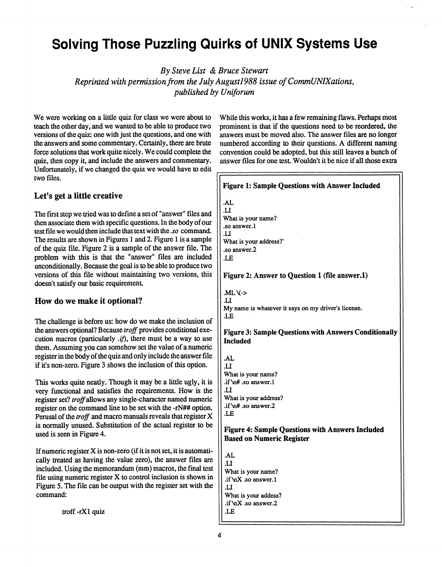## **Solving Those Puzzling Quirks of UNIX Systems Use**

*By Steve List & Bruce Stewart* 

*Reprinted with permission from the July August1988 issue of CommUNIXations, published by Uniforwn* 

We were working on a little quiz for class we were about to teach the other day, and we wanted to be able to produce two versions of the quiz: one with just the questions, and one with the answers and some commentary. Certainly, there are brute force solutions that work quite nicely. We could complete the quiz, then copy it, and include the answers and commentary. Unfortunately, if we changed the quiz we would have to edit two files.

#### **Let's get a little creative**

The first step we tried was to define a set of "answer" files and then associate them with specific questions. In the body of our test file we would then include that text with the *.so* command. The results are shown in Figures 1 and 2. Figure 1 is a sample of the quiz file. Figure 2 is a sample of the answer file. The problem with this is that the "answer" files are included unconditionally. Because the goal is to be able to produce two versions of this file without maintaining two versions, this doesn't satisfy our basic requirement

#### **How do we make it optional?**

The challenge is before us: how do we make the inclusion of the answers optional? Because *troff* provides conditional execution macros (particularly *.if),* there must be a way to use them. Assuming you can somehow set the value of a numeric register in the body of the quiz and only include the answer file if it's non-zero. Figure 3 shows the inclusion of this option.

This works quite neatly. Though it may be a little ugly, it is very functional and satisfies the requirements. How is the register set? troff allows any single-character named numeric register on the command line to be set with the -rN## option. Perusal of the *troff* and macro manuals reveals that register X is normally unused. Substitution of the actual register to be used is seen in Figure 4.

If numeric register X is non-zero (if it is not set, it is automatically treated as having the value zero), the answer files are included. Using the memorandum (mm) macros, the final test file using numeric register X to control inclusion is shown in Figure 5. The file can be output with the register set with the command:

troff -rXl quiz

While this works, it has a few remaining flaws. Perhaps most prominent is that if the questions need to be reordered, the answers must be moved also. The answer files are no longer numbered according to their questions. A different naming convention could be adopted, but this still leaves a bunch of answer files for one test. Wouldn't it be nice if all those extra

#### **Figure 1: Sample Questions with Answer Included .AL .U What is your name? .so answer. 1**  *.11*  **What is your address?" .so answer.2 .LE Figure** 2: **Answer to Question 1 (file answer.l) .ML\(->**  *U*  **My name is whatever it says on my driver's license. .LE Figure 3: Sample Questions with Answers Conditionally Included**  .AL .U **What is your name? .if \n# .so answer.l**  *U*  **What is your address? .if Vi# .so answer.2 .LE Figure 4: Sample Questions with Answers Included Based on Numeric Register .AL .U What is your name? .if \nX .so answer.l .U What is your addess? .if NnX .so answer.2**

**.LE**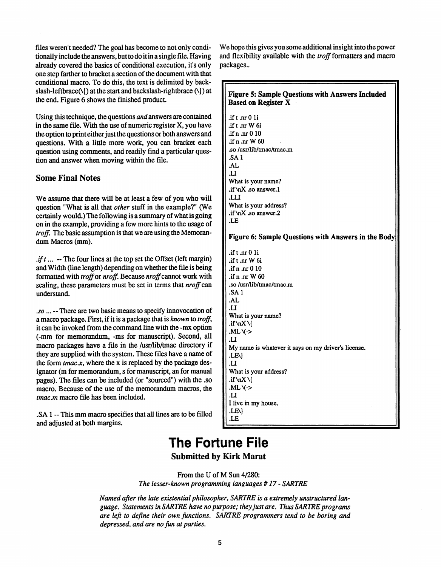files weren't needed? The goal has become to not only conditionally include the answers, but to do it in a single file. Having already covered the basics of conditional execution, it's only one step farther to bracket a section of the document with that conditional macro. To do this, the text is delimited by backslash-leftbrace(\{) at the start and backslash-rightbrace (\}) at the end. Figure 6 shows the finished product

Using this technique, the questions and answers are contained in the same file. With the use of numeric register X, you have the option to print either just the questions or both answers and questions. With a little more work, you can bracket each question using comments, and readily find a particular question and answer when moving within the file.

#### **Some Final Notes**

We assume that there will be at least a few of you who will question "What is all that *other* stuff in the example?" (We certainly would.) The following is a summary of what is going on in the example, providing a few more hints to the usage of *troff.* The basic assumption is that we are using the Memorandum Macros (mm).

 $A$ *if*  $t$ ... - The four lines at the top set the Offset (left margin) and Width (line length) depending on whether the file is being formatted with *troff* or *nroff*. Because *nroff* cannot work with scaling, these parameters must be set in terms that *nroff can*  understand.

*.so*... - There are two basic means to specify innovocation of a macro package. First, if it is a package that is *known* to *troff,*  it can be invoked from the command line with the -mx option (-mm for memorandum, -ms for manuscript). Second, all macro packages have a file in the /usr/lib/tmac directory if they are supplied with the system. These files have a name of the form  $tmac.x$ , where the x is replaced by the package designator (m for memorandum, s for manuscript, an for manual pages). The files can be included (or "sourced") with the .so macro. Because of the use of the memorandum macros, the *tmac.m* macro file has been included.

.SA1 - This mm macro specifies that all lines are to be filled and adjusted at both margins.

We hope this gives you some additional insight into the power and flexibility available with the *troff* formatters and macro packages..

#### **Figure 5: Sample Questions with Answers Included Based on Register X .ift oirOli .ift.nrW6i .ifn JITOIO .ifn.nrW60 .so /usr/lib/tmac/tmacm .SA1 .AL .U What is your name? .if ViX .so answer. 1 .LU What is your address?**  .if \nX .so answer.2 **.LE Figure 6: Sample Questions with Answers in the Body .if t** .nr 0 1i **.ift.nrW6i .ifn JITOIO .ifn.nrW60 .so /usr/lib/tmac/tmac jn .SA1 .AL .11 What is your name? .if \nX\{ .ML\(-> .U My name is whatever it says on my driver's license. .LE\} .II What is your address? .if\nX\{ .ML\(->**  *.U*  **I live in my house. .LE\} .LE**

### **The Fortune File Submitted by Kirk Marat**

From the U of M Sun 4/280: *The lesser-known programming languages #17*- *SARTRE* 

*Named after the late existential philosopher, SARTRE is a extremely unstructured language. Statements in SARTRE have no purpose; they just are. Thus SARTRE programs are left to define their own functions. SARTRE programmers tend to be boring and depressed, and are no fun at parties.*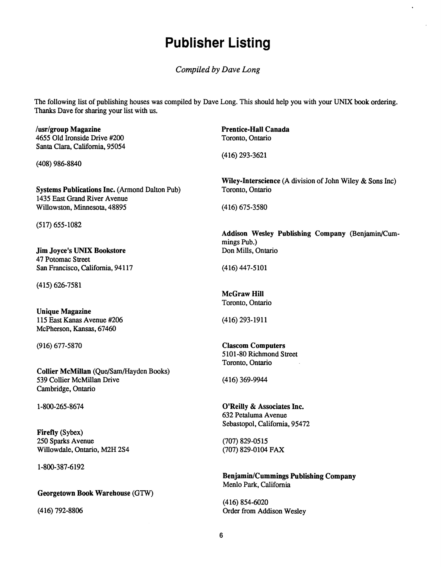## **Publisher Listing**

*Compiled by Dave Long* 

The following list of publishing houses was compiled by Dave Long. This should help you with your UNIX book ordering. Thanks Dave for sharing your list with us.

**/usr/group Magazine**  4655 Old Ironside Drive #200 Santa Clara, California, 95054

(408) 986-8840

**Systems Publications Inc.** (Armond Dalton Pub) 1435 East Grand River Avenue Willowston, Minnesota, 48895

(517) 655-1082

**Jim Joyce's UNIX Bookstore**  47 Potomac Street San Francisco, California, 94117

(415) 626-7581

**Unique Magazine**  115 East Kanas Avenue #206 McPherson, Kansas, 67460

(916) 677-5870

**Collier McMillan** (Que/Sam/Hayden Books) 539 Collier McMillan Drive Cambridge, Ontario

1-800-265-8674

**Firefly** (Sybex) 250 Sparks Avenue Willowdale, Ontario, M2H 2S4

1-800-387-6192

#### **Georgetown Book Warehouse** (GTW)

(416) 792-8806

**Prentice-Hall Canada**  Toronto, Ontario

(416)293-3621

**Wiley-Interscience** (A division of John Wiley & Sons Inc) Toronto, Ontario

(416)675-3580

**Addison Wesley Publishing Company** (Benjamin/Cummings Pub.) Don Mills, Ontario

(416)447-5101

**McGraw Hill**  Toronto, Ontario

(416)293-1911

**Clascom Computers**  5101-80 Richmond Street Toronto, Ontario

(416) 369-9944

**O'Reilly** & **Associates Inc.**  632 Petaluma Avenue Sebastopol, California, 95472

(707) 829-0515 (707) 829-0104 FAX

**Benjamin/Cummings Publishing Company**  Menlo Park, California

(416) 854-6020 Order from Addison Wesley